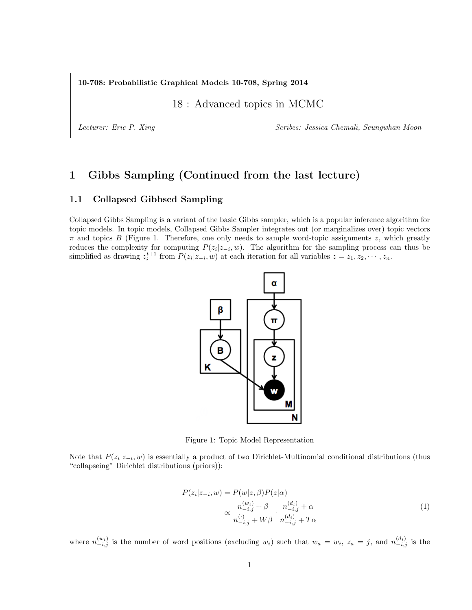10-708: Probabilistic Graphical Models 10-708, Spring 2014

18 : Advanced topics in MCMC

Lecturer: Eric P. Xing Scribes: Jessica Chemali, Seungwhan Moon

# 1 Gibbs Sampling (Continued from the last lecture)

# 1.1 Collapsed Gibbsed Sampling

Collapsed Gibbs Sampling is a variant of the basic Gibbs sampler, which is a popular inference algorithm for topic models. In topic models, Collapsed Gibbs Sampler integrates out (or marginalizes over) topic vectors  $\pi$  and topics B (Figure 1. Therefore, one only needs to sample word-topic assignments z, which greatly reduces the complexity for computing  $P(z_i|z_{-i}, w)$ . The algorithm for the sampling process can thus be simplified as drawing  $z_i^{t+1}$  from  $P(z_i|z_{-i}, w)$  at each iteration for all variables  $z = z_1, z_2, \cdots, z_n$ .



Figure 1: Topic Model Representation

Note that  $P(z_i|z_{-i}, w)$  is essentially a product of two Dirichlet-Multinomial conditional distributions (thus "collapseing" Dirichlet distributions (priors)):

$$
P(z_i|z_{-i}, w) = P(w|z, \beta)P(z|\alpha)
$$
  
 
$$
\propto \frac{n_{-i,j}^{(w_i)} + \beta}{n_{-i,j}^{(i)} + W\beta} \cdot \frac{n_{-i,j}^{(d_i)} + \alpha}{n_{-i,j}^{(d_i)} + T\alpha}
$$
 (1)

where  $n_{-i,j}^{(w_i)}$  is the number of word positions (excluding  $w_i$ ) such that  $w_a = w_i$ ,  $z_a = j$ , and  $n_{-i,j}^{(d_i)}$  is the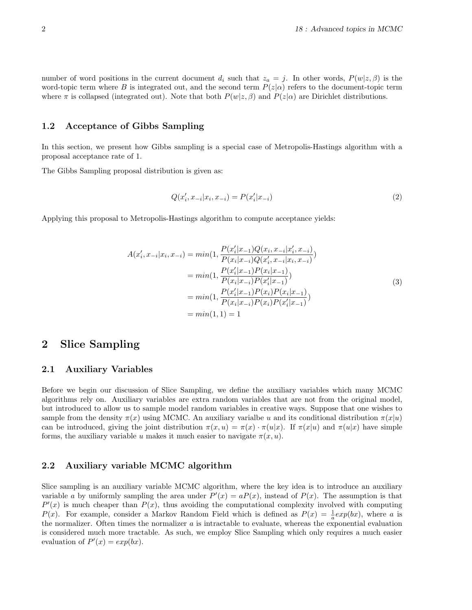number of word positions in the current document  $d_i$  such that  $z_a = j$ . In other words,  $P(w|z, \beta)$  is the word-topic term where B is integrated out, and the second term  $P(z|\alpha)$  refers to the document-topic term where  $\pi$  is collapsed (integrated out). Note that both  $P(w|z, \beta)$  and  $P(z|\alpha)$  are Dirichlet distributions.

## 1.2 Acceptance of Gibbs Sampling

In this section, we present how Gibbs sampling is a special case of Metropolis-Hastings algorithm with a proposal acceptance rate of 1.

The Gibbs Sampling proposal distribution is given as:

$$
Q(x'_i, x_{-i}|x_i, x_{-i}) = P(x'_i|x_{-i})
$$
\n(2)

Applying this proposal to Metropolis-Hastings algorithm to compute acceptance yields:

$$
A(x'_i, x_{-i}|x_i, x_{-i}) = min(1, \frac{P(x'_i|x_{-1})Q(x_i, x_{-i}|x'_i, x_{-i})}{P(x_i|x_{-i})Q(x'_i, x_{-i}|x_i, x_{-i})})
$$
  
\n
$$
= min(1, \frac{P(x'_i|x_{-1})P(x_i|x_{-1})}{P(x_i|x_{-i})P(x'_i|x_{-1})})
$$
  
\n
$$
= min(1, \frac{P(x'_i|x_{-1})P(x_i)P(x_i|x_{-1})}{P(x_i|x_{-i})P(x_i)P(x'_i|x_{-1})})
$$
  
\n
$$
= min(1, 1) = 1
$$
\n(3)

# 2 Slice Sampling

### 2.1 Auxiliary Variables

Before we begin our discussion of Slice Sampling, we define the auxiliary variables which many MCMC algorithms rely on. Auxiliary variables are extra random variables that are not from the original model, but introduced to allow us to sample model random variables in creative ways. Suppose that one wishes to sample from the density  $\pi(x)$  using MCMC. An auxiliary varialbe u and its conditional distribution  $\pi(x|u)$ can be introduced, giving the joint distribution  $\pi(x, u) = \pi(x) \cdot \pi(u|x)$ . If  $\pi(x|u)$  and  $\pi(u|x)$  have simple forms, the auxiliary variable u makes it much easier to navigate  $\pi(x, u)$ .

### 2.2 Auxiliary variable MCMC algorithm

Slice sampling is an auxiliary variable MCMC algorithm, where the key idea is to introduce an auxiliary variable a by uniformly sampling the area under  $P'(x) = aP(x)$ , instead of  $P(x)$ . The assumption is that  $P'(x)$  is much cheaper than  $P(x)$ , thus avoiding the computational complexity involved with computing  $P(x)$ . For example, consider a Markov Random Field which is defined as  $P(x) = \frac{1}{a} exp(bx)$ , where a is the normalizer. Often times the normalizer  $a$  is intractable to evaluate, whereas the exponential evaluation is considered much more tractable. As such, we employ Slice Sampling which only requires a much easier evaluation of  $P'(x) = exp(bx)$ .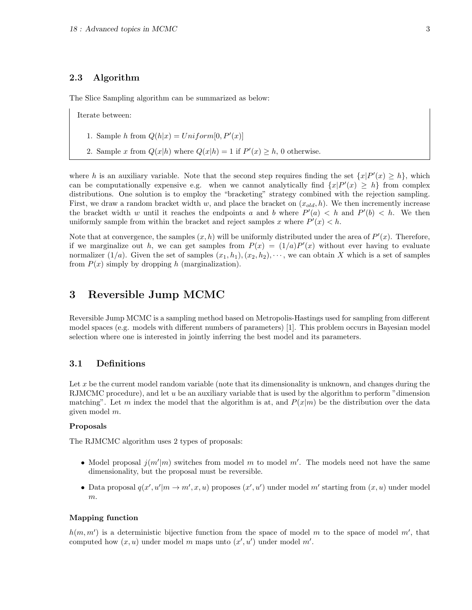# 2.3 Algorithm

The Slice Sampling algorithm can be summarized as below:

Iterate between:

- 1. Sample h from  $Q(h|x) = Uniform[0, P'(x)]$
- 2. Sample x from  $Q(x|h)$  where  $Q(x|h) = 1$  if  $P'(x) \geq h$ , 0 otherwise.

where h is an auxiliary variable. Note that the second step requires finding the set  $\{x|P'(x) \geq h\}$ , which can be computationally expensive e.g. when we cannot analytically find  $\{x|P'(x) \geq h\}$  from complex distributions. One solution is to employ the "bracketing" strategy combined with the rejection sampling. First, we draw a random bracket width w, and place the bracket on  $(x_{old}, h)$ . We then incremently increase the bracket width w until it reaches the endpoints a and b where  $P'(a) < h$  and  $P'(b) < h$ . We then uniformly sample from within the bracket and reject samples x where  $P'(x) < h$ .

Note that at convergence, the samples  $(x, h)$  will be uniformly distributed under the area of  $P'(x)$ . Therefore, if we marginalize out h, we can get samples from  $P(x) = (1/a)P'(x)$  without ever having to evaluate normalizer  $(1/a)$ . Given the set of samples  $(x_1, h_1), (x_2, h_2), \cdots$ , we can obtain X which is a set of samples from  $P(x)$  simply by dropping h (marginalization).

# 3 Reversible Jump MCMC

Reversible Jump MCMC is a sampling method based on Metropolis-Hastings used for sampling from different model spaces (e.g. models with different numbers of parameters) [1]. This problem occurs in Bayesian model selection where one is interested in jointly inferring the best model and its parameters.

# 3.1 Definitions

Let x be the current model random variable (note that its dimensionality is unknown, and changes during the RJMCMC procedure), and let u be an auxiliary variable that is used by the algorithm to perform "dimension matching". Let m index the model that the algorithm is at, and  $P(x|m)$  be the distribution over the data given model m.

#### Proposals

The RJMCMC algorithm uses 2 types of proposals:

- Model proposal  $j(m'|m)$  switches from model m to model m'. The models need not have the same dimensionality, but the proposal must be reversible.
- Data proposal  $q(x', u'|m \to m', x, u)$  proposes  $(x', u')$  under model m' starting from  $(x, u)$  under model m.

#### Mapping function

 $h(m, m')$  is a deterministic bijective function from the space of model m to the space of model m', that computed how  $(x, u)$  under model m maps unto  $(x', u')$  under model m'.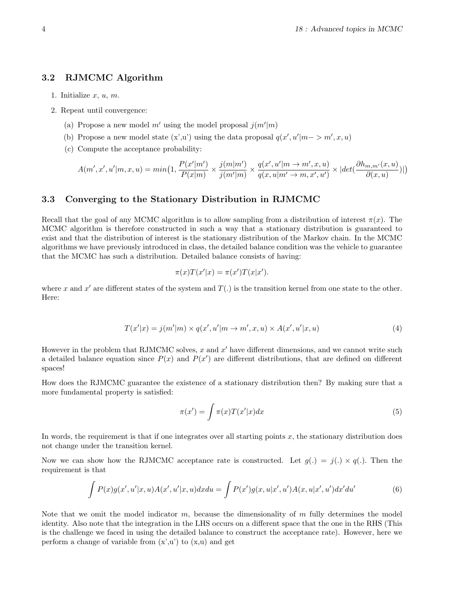# 3.2 RJMCMC Algorithm

- 1. Initialize  $x, u, m$ .
- 2. Repeat until convergence:
	- (a) Propose a new model m' using the model proposal  $j(m'|m)$
	- (b) Propose a new model state  $(x',u')$  using the data proposal  $q(x',u'|m->m',x,u)$
	- (c) Compute the acceptance probability:

$$
A(m',x',u'|m,x,u) = min\left(1,\frac{P(x'|m')}{P(x|m)} \times \frac{j(m|m')}{j(m'|m)} \times \frac{q(x',u'|m \rightarrow m',x,u)}{q(x,u|m' \rightarrow m,x',u')} \times |det(\frac{\partial h_{m,m'}(x,u)}{\partial (x,u)})|\right)
$$

### 3.3 Converging to the Stationary Distribution in RJMCMC

Recall that the goal of any MCMC algorithm is to allow sampling from a distribution of interest  $\pi(x)$ . The MCMC algorithm is therefore constructed in such a way that a stationary distribution is guaranteed to exist and that the distribution of interest is the stationary distribution of the Markov chain. In the MCMC algorithms we have previously introduced in class, the detailed balance condition was the vehicle to guarantee that the MCMC has such a distribution. Detailed balance consists of having:

$$
\pi(x)T(x'|x) = \pi(x')T(x|x').
$$

where x and  $x'$  are different states of the system and  $T(.)$  is the transition kernel from one state to the other. Here:

$$
T(x'|x) = j(m'|m) \times q(x', u'|m \to m', x, u) \times A(x', u'|x, u)
$$
\n
$$
(4)
$$

However in the problem that RJMCMC solves,  $x$  and  $x'$  have different dimensions, and we cannot write such a detailed balance equation since  $P(x)$  and  $P(x')$  are different distributions, that are defined on different spaces!

How does the RJMCMC guarantee the existence of a stationary distribution then? By making sure that a more fundamental property is satisfied:

$$
\pi(x') = \int \pi(x) T(x'|x) dx \tag{5}
$$

In words, the requirement is that if one integrates over all starting points  $x$ , the stationary distribution does not change under the transition kernel.

Now we can show how the RJMCMC acceptance rate is constructed. Let  $g(.) = j(.) \times q(.)$ . Then the requirement is that

$$
\int P(x)g(x',u'|x,u)A(x',u'|x,u)dxdu = \int P(x')g(x,u|x',u')A(x,u|x',u')dx'du'
$$
\n(6)

Note that we omit the model indicator m, because the dimensionality of m fully determines the model identity. Also note that the integration in the LHS occurs on a different space that the one in the RHS (This is the challenge we faced in using the detailed balance to construct the acceptance rate). However, here we perform a change of variable from  $(x',u')$  to  $(x,u)$  and get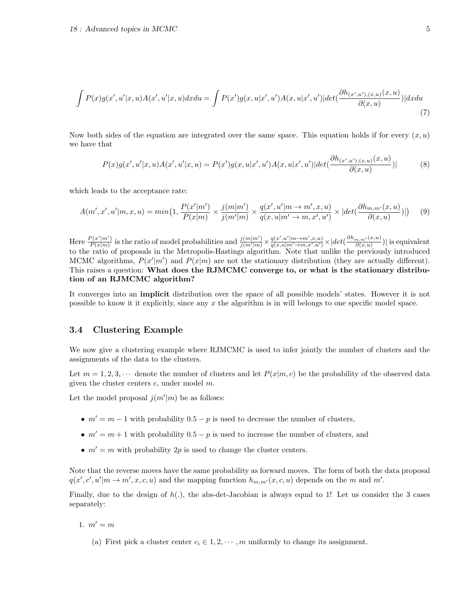$$
\int P(x)g(x',u'|x,u)A(x',u'|x,u)dxdu = \int P(x')g(x,u|x',u')A(x,u|x',u')|det(\frac{\partial h_{(x',u'),(x,u)}(x,u)}{\partial(x,u)})|dxdu
$$
\n(7)

Now both sides of the equation are integrated over the same space. This equation holds if for every  $(x, u)$ we have that

$$
P(x)g(x',u'|x,u)A(x',u'|x,u) = P(x')g(x,u|x',u')A(x,u|x',u')|det(\frac{\partial h_{(x',u'),(x,u)}(x,u)}{\partial(x,u)})|
$$
(8)

which leads to the acceptance rate:

$$
A(m',x',u'|m,x,u) = min(1, \frac{P(x'|m')}{P(x|m)} \times \frac{j(m|m')}{j(m'|m)} \times \frac{q(x',u'|m \to m',x,u)}{q(x,u|m' \to m,x',u')} \times |det(\frac{\partial h_{m,m'}(x,u)}{\partial(x,u)})|) \tag{9}
$$

Here  $\frac{P(x'|m')}{P(x|m)}$  $\frac{P(x'|m')}{P(x|m)}$  is the ratio of model probabilities and  $\frac{j(m|m')}{j(m'|m)} \times \frac{q(x',u'|m\rightarrow m',x,u)}{q(x,u|m'\rightarrow m,x',u')} \times |det(\frac{\partial h_{m,m'}(x,u)}{\partial (x,u)})|$  is equivalent to the ratio of proposals in the Metropolis-Hastings algorithm. Note that unlike the previously introduced MCMC algorithms,  $P(x'|m')$  and  $P(x|m)$  are not the stationary distribution (they are actually different). This raises a question: What does the RJMCMC converge to, or what is the stationary distribution of an RJMCMC algorithm?

It converges into an implicit distribution over the space of all possible models' states. However it is not possible to know it it explicitly, since any  $x$  the algorithm is in will belongs to one specific model space.

## 3.4 Clustering Example

We now give a clustering example where RJMCMC is used to infer jointly the number of clusters and the assignments of the data to the clusters.

Let  $m = 1, 2, 3, \cdots$  denote the number of clusters and let  $P(x|m, c)$  be the probability of the observed data given the cluster centers  $c$ , under model  $m$ .

Let the model proposal  $j(m'|m)$  be as follows:

- $m' = m 1$  with probability  $0.5 p$  is used to decrease the number of clusters,
- $m' = m + 1$  with probability 0.5 p is used to increase the number of clusters, and
- $m' = m$  with probability 2p is used to change the cluster centers.

Note that the reverse moves have the same probability as forward moves. The form of both the data proposal  $q(x', c', u'|m \to m', x, c, u)$  and the mapping function  $h_{m,m'}(x, c, u)$  depends on the m and m'.

Finally, due to the design of  $h(.)$ , the abs-det-Jacobian is always equal to 1! Let us consider the 3 cases separately:

- 1.  $m' = m$ 
	- (a) First pick a cluster center  $c_i \in 1, 2, \dots, m$  uniformly to change its assignment.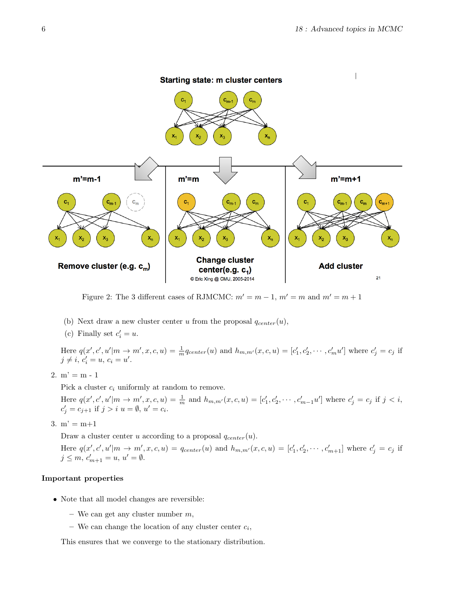

Figure 2: The 3 different cases of RJMCMC:  $m' = m - 1$ ,  $m' = m$  and  $m' = m + 1$ 

- (b) Next draw a new cluster center u from the proposal  $q_{center}(u)$ ,
- (c) Finally set  $c_i' = u$ .

Here  $q(x', c', u'|m \rightarrow m', x, c, u) = \frac{1}{m}q_{center}(u)$  and  $h_{m,m'}(x, c, u) = [c'_1, c'_2, \cdots, c'_m u']$  where  $c'_j = c_j$  if  $j \neq i, c'_{i} = u, c_{i} = u'.$ 

2.  $m' = m - 1$ 

Pick a cluster  $c_i$  uniformly at random to remove.

Here  $q(x', c', u'|m \to m', x, c, u) = \frac{1}{m}$  and  $h_{m,m'}(x, c, u) = [c'_1, c'_2, \cdots, c'_{m-1}u']$  where  $c'_j = c_j$  if  $j < i$ ,  $c'_{j} = c_{j+1}$  if  $j > i$   $u = \emptyset$ ,  $u' = c_{i}$ .

3.  $m' = m+1$ 

Draw a cluster center u according to a proposal  $q_{center}(u)$ .

Here  $q(x',c',u'|m \rightarrow m',x,c,u) = q_{center}(u)$  and  $h_{m,m'}(x,c,u) = [c'_1,c'_2,\cdots,c'_{m+1}]$  where  $c'_j = c_j$  if  $j \leq m, c'_{m+1} = u, u' = \emptyset.$ 

### Important properties

- Note that all model changes are reversible:
	- We can get any cluster number  $m$ ,
	- We can change the location of any cluster center  $c_i$ ,

This ensures that we converge to the stationary distribution.